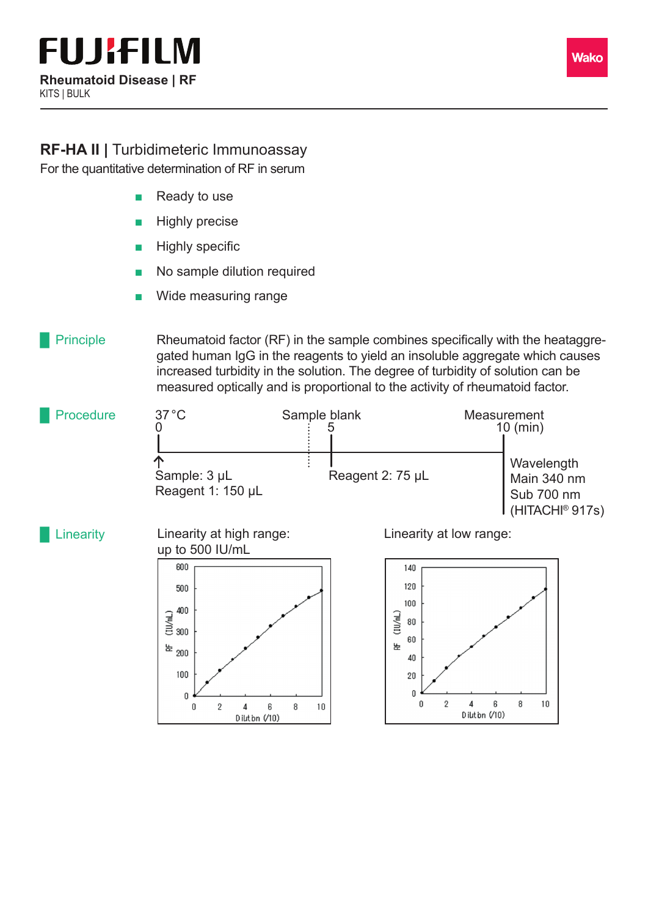

## **RF-HA II |** Turbidimeteric Immunoassay

For the quantitative determination of RF in serum

- **Ready to use**
- **Highly precise**
- **Highly specific**
- No sample dilution required
- Wide measuring range

## **Principle**

Rheumatoid factor (RF) in the sample combines specifically with the heataggregated human IgG in the reagents to yield an insoluble aggregate which causes increased turbidity in the solution. The degree of turbidity of solution can be measured optically and is proportional to the activity of rheumatoid factor.